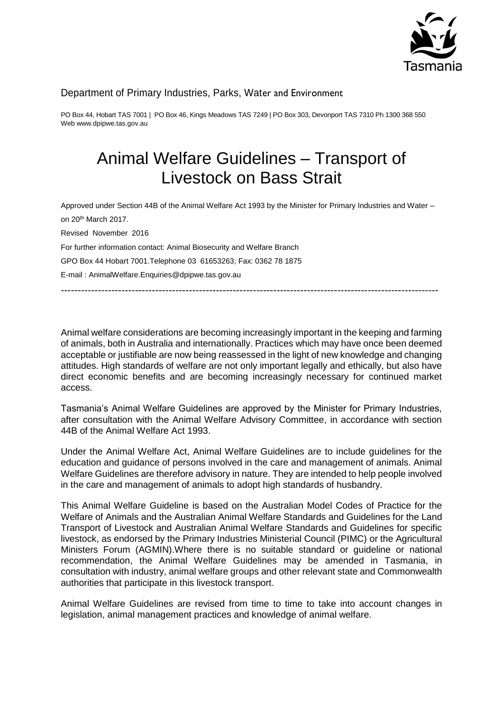

## Department of Primary Industries, Parks, Water and Environment

PO Box 44, Hobart TAS 7001 | PO Box 46, Kings Meadows TAS 7249 | PO Box 303, Devonport TAS 7310 Ph 1300 368 550 Web www.dpipwe.tas.gov.au

# Animal Welfare Guidelines – Transport of Livestock on Bass Strait

Approved under Section 44B of the Animal Welfare Act 1993 by the Minister for Primary Industries and Water – on 20th March 2017. Revised November 2016 For further information contact: Animal Biosecurity and Welfare Branch GPO Box 44 Hobart 7001.Telephone 03 61653263; Fax: 0362 78 1875 E-mail : AnimalWelfare.Enquiries@dpipwe.tas.gov.au

----------------------------------------------------------------------------------------------------------------

Animal welfare considerations are becoming increasingly important in the keeping and farming of animals, both in Australia and internationally. Practices which may have once been deemed acceptable or justifiable are now being reassessed in the light of new knowledge and changing attitudes. High standards of welfare are not only important legally and ethically, but also have direct economic benefits and are becoming increasingly necessary for continued market access.

Tasmania's Animal Welfare Guidelines are approved by the Minister for Primary Industries, after consultation with the Animal Welfare Advisory Committee, in accordance with section 44B of the Animal Welfare Act 1993.

Under the Animal Welfare Act, Animal Welfare Guidelines are to include guidelines for the education and guidance of persons involved in the care and management of animals. Animal Welfare Guidelines are therefore advisory in nature. They are intended to help people involved in the care and management of animals to adopt high standards of husbandry.

This Animal Welfare Guideline is based on the Australian Model Codes of Practice for the Welfare of Animals and the Australian Animal Welfare Standards and Guidelines for the Land Transport of Livestock and Australian Animal Welfare Standards and Guidelines for specific livestock, as endorsed by the Primary Industries Ministerial Council (PIMC) or the Agricultural Ministers Forum (AGMIN).Where there is no suitable standard or guideline or national recommendation, the Animal Welfare Guidelines may be amended in Tasmania, in consultation with industry, animal welfare groups and other relevant state and Commonwealth authorities that participate in this livestock transport.

Animal Welfare Guidelines are revised from time to time to take into account changes in legislation, animal management practices and knowledge of animal welfare.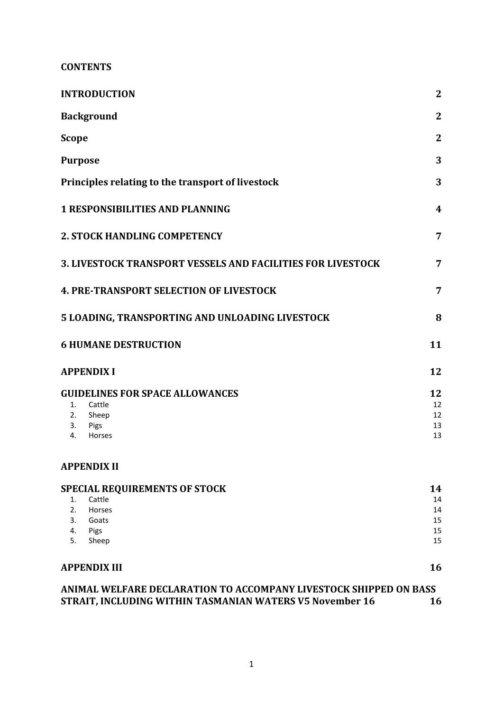**CONTENTS**

| <b>INTRODUCTION</b>                                                | $\mathbf{2}$     |
|--------------------------------------------------------------------|------------------|
| <b>Background</b>                                                  | $\mathbf{2}$     |
| <b>Scope</b>                                                       | $\mathbf{2}$     |
| <b>Purpose</b>                                                     | 3                |
| Principles relating to the transport of livestock                  | 3                |
| <b>1 RESPONSIBILITIES AND PLANNING</b>                             | $\boldsymbol{4}$ |
| <b>2. STOCK HANDLING COMPETENCY</b>                                | 7                |
| <b>3. LIVESTOCK TRANSPORT VESSELS AND FACILITIES FOR LIVESTOCK</b> | 7                |
| <b>4. PRE-TRANSPORT SELECTION OF LIVESTOCK</b>                     | 7                |
| 5 LOADING, TRANSPORTING AND UNLOADING LIVESTOCK                    | 8                |
| <b>6 HUMANE DESTRUCTION</b>                                        | 11               |
| <b>APPENDIX I</b>                                                  | 12               |
| <b>GUIDELINES FOR SPACE ALLOWANCES</b>                             | 12               |
| Cattle<br>1.                                                       | 12               |
| 2.<br>Sheep                                                        | 12               |
| 3.<br>Pigs<br>Horses<br>4.                                         | 13<br>13         |
| <b>APPENDIX II</b>                                                 |                  |
| <b>SPECIAL REQUIREMENTS OF STOCK</b>                               | 14               |
| Cattle<br>1.                                                       | 14               |
| 2.<br>Horses                                                       | 14               |
| 3.<br>Goats                                                        | 15               |
| 4.<br>Pigs<br>5.<br>Sheep                                          | 15<br>15         |
| <b>APPENDIX III</b>                                                | 16               |
| ANIMAL WELFARE DECLARATION TO ACCOMPANY LIVESTOCK SHIPPED ON BASS  |                  |
| STRAIT, INCLUDING WITHIN TASMANIAN WATERS V5 November 16           | 16               |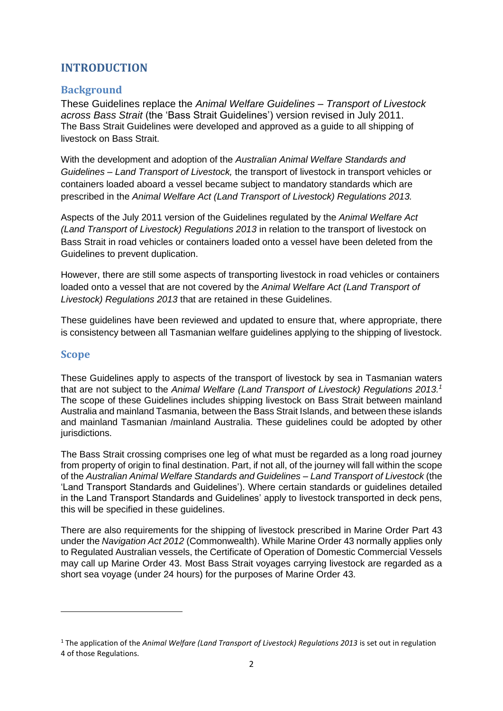# <span id="page-2-0"></span>**INTRODUCTION**

## <span id="page-2-1"></span>**Background**

These Guidelines replace the *Animal Welfare Guidelines – Transport of Livestock across Bass Strait* (the 'Bass Strait Guidelines') version revised in July 2011. The Bass Strait Guidelines were developed and approved as a guide to all shipping of livestock on Bass Strait.

With the development and adoption of the *Australian Animal Welfare Standards and Guidelines – Land Transport of Livestock,* the transport of livestock in transport vehicles or containers loaded aboard a vessel became subject to mandatory standards which are prescribed in the *Animal Welfare Act (Land Transport of Livestock) Regulations 2013.* 

Aspects of the July 2011 version of the Guidelines regulated by the *Animal Welfare Act (Land Transport of Livestock) Regulations 2013* in relation to the transport of livestock on Bass Strait in road vehicles or containers loaded onto a vessel have been deleted from the Guidelines to prevent duplication.

However, there are still some aspects of transporting livestock in road vehicles or containers loaded onto a vessel that are not covered by the *Animal Welfare Act (Land Transport of Livestock) Regulations 2013* that are retained in these Guidelines.

These guidelines have been reviewed and updated to ensure that, where appropriate, there is consistency between all Tasmanian welfare guidelines applying to the shipping of livestock.

## <span id="page-2-2"></span>**Scope**

 $\overline{\phantom{a}}$ 

These Guidelines apply to aspects of the transport of livestock by sea in Tasmanian waters that are not subject to the *Animal Welfare (Land Transport of Livestock) Regulations 2013.<sup>1</sup>* The scope of these Guidelines includes shipping livestock on Bass Strait between mainland Australia and mainland Tasmania, between the Bass Strait Islands, and between these islands and mainland Tasmanian /mainland Australia. These guidelines could be adopted by other jurisdictions.

The Bass Strait crossing comprises one leg of what must be regarded as a long road journey from property of origin to final destination. Part, if not all, of the journey will fall within the scope of the *Australian Animal Welfare Standards and Guidelines – Land Transport of Livestock* (the 'Land Transport Standards and Guidelines'). Where certain standards or guidelines detailed in the Land Transport Standards and Guidelines' apply to livestock transported in deck pens, this will be specified in these guidelines.

There are also requirements for the shipping of livestock prescribed in Marine Order Part 43 under the *Navigation Act 2012* (Commonwealth). While Marine Order 43 normally applies only to Regulated Australian vessels, the Certificate of Operation of Domestic Commercial Vessels may call up Marine Order 43. Most Bass Strait voyages carrying livestock are regarded as a short sea voyage (under 24 hours) for the purposes of Marine Order 43.

<sup>1</sup> The application of the *Animal Welfare (Land Transport of Livestock) Regulations 2013* is set out in regulation 4 of those Regulations.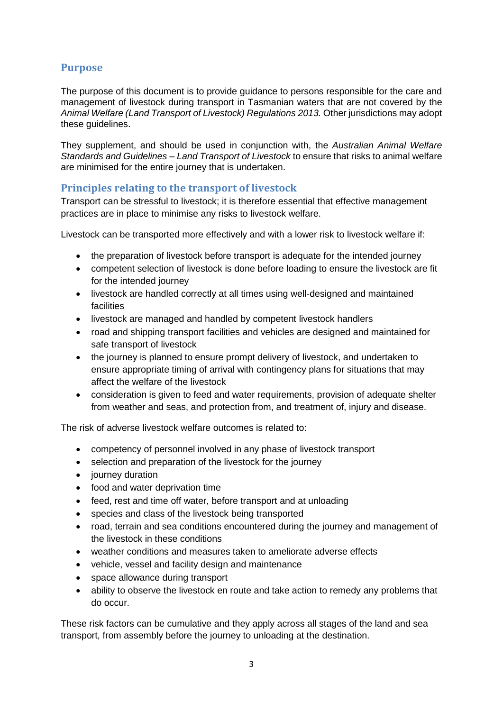# <span id="page-3-0"></span>**Purpose**

The purpose of this document is to provide guidance to persons responsible for the care and management of livestock during transport in Tasmanian waters that are not covered by the *Animal Welfare (Land Transport of Livestock) Regulations 2013.* Other jurisdictions may adopt these guidelines.

They supplement, and should be used in conjunction with, the *Australian Animal Welfare Standards and Guidelines – Land Transport of Livestock* to ensure that risks to animal welfare are minimised for the entire journey that is undertaken.

## <span id="page-3-1"></span>**Principles relating to the transport of livestock**

Transport can be stressful to livestock; it is therefore essential that effective management practices are in place to minimise any risks to livestock welfare.

Livestock can be transported more effectively and with a lower risk to livestock welfare if:

- the preparation of livestock before transport is adequate for the intended journey
- competent selection of livestock is done before loading to ensure the livestock are fit for the intended journey
- livestock are handled correctly at all times using well-designed and maintained facilities
- livestock are managed and handled by competent livestock handlers
- road and shipping transport facilities and vehicles are designed and maintained for safe transport of livestock
- the journey is planned to ensure prompt delivery of livestock, and undertaken to ensure appropriate timing of arrival with contingency plans for situations that may affect the welfare of the livestock
- consideration is given to feed and water requirements, provision of adequate shelter from weather and seas, and protection from, and treatment of, injury and disease.

The risk of adverse livestock welfare outcomes is related to:

- competency of personnel involved in any phase of livestock transport
- selection and preparation of the livestock for the journey
- journey duration
- food and water deprivation time
- feed, rest and time off water, before transport and at unloading
- species and class of the livestock being transported
- road, terrain and sea conditions encountered during the journey and management of the livestock in these conditions
- weather conditions and measures taken to ameliorate adverse effects
- vehicle, vessel and facility design and maintenance
- space allowance during transport
- ability to observe the livestock en route and take action to remedy any problems that do occur.

These risk factors can be cumulative and they apply across all stages of the land and sea transport, from assembly before the journey to unloading at the destination.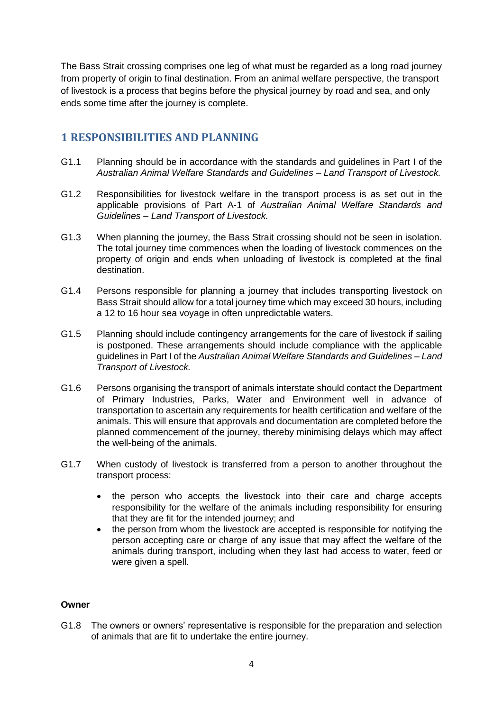The Bass Strait crossing comprises one leg of what must be regarded as a long road journey from property of origin to final destination. From an animal welfare perspective, the transport of livestock is a process that begins before the physical journey by road and sea, and only ends some time after the journey is complete.

# <span id="page-4-0"></span>**1 RESPONSIBILITIES AND PLANNING**

- G1.1 Planning should be in accordance with the standards and guidelines in Part I of the *Australian Animal Welfare Standards and Guidelines – Land Transport of Livestock.*
- G1.2 Responsibilities for livestock welfare in the transport process is as set out in the applicable provisions of Part A-1 of *Australian Animal Welfare Standards and Guidelines – Land Transport of Livestock.*
- G1.3 When planning the journey, the Bass Strait crossing should not be seen in isolation. The total journey time commences when the loading of livestock commences on the property of origin and ends when unloading of livestock is completed at the final destination.
- G1.4 Persons responsible for planning a journey that includes transporting livestock on Bass Strait should allow for a total journey time which may exceed 30 hours, including a 12 to 16 hour sea voyage in often unpredictable waters.
- G1.5 Planning should include contingency arrangements for the care of livestock if sailing is postponed. These arrangements should include compliance with the applicable guidelines in Part I of the *Australian Animal Welfare Standards and Guidelines – Land Transport of Livestock.*
- G1.6 Persons organising the transport of animals interstate should contact the Department of Primary Industries, Parks, Water and Environment well in advance of transportation to ascertain any requirements for health certification and welfare of the animals. This will ensure that approvals and documentation are completed before the planned commencement of the journey, thereby minimising delays which may affect the well-being of the animals.
- G1.7 When custody of livestock is transferred from a person to another throughout the transport process:
	- the person who accepts the livestock into their care and charge accepts responsibility for the welfare of the animals including responsibility for ensuring that they are fit for the intended journey; and
	- the person from whom the livestock are accepted is responsible for notifying the person accepting care or charge of any issue that may affect the welfare of the animals during transport, including when they last had access to water, feed or were given a spell.

#### **Owner**

G1.8 The owners or owners' representative is responsible for the preparation and selection of animals that are fit to undertake the entire journey.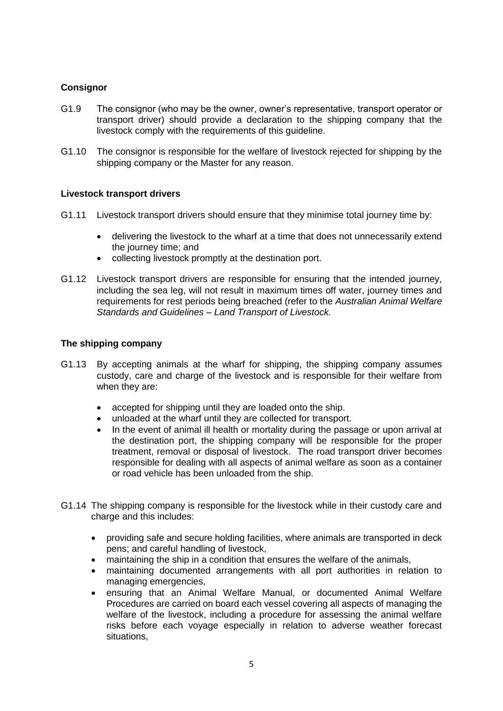#### **Consignor**

- G1.9 The consignor (who may be the owner, owner's representative, transport operator or transport driver) should provide a declaration to the shipping company that the livestock comply with the requirements of this guideline.
- G1.10 The consignor is responsible for the welfare of livestock rejected for shipping by the shipping company or the Master for any reason.

#### **Livestock transport drivers**

- G1.11 Livestock transport drivers should ensure that they minimise total journey time by:
	- delivering the livestock to the wharf at a time that does not unnecessarily extend the journey time; and
	- collecting livestock promptly at the destination port.
- G1.12 Livestock transport drivers are responsible for ensuring that the intended journey, including the sea leg, will not result in maximum times off water, journey times and requirements for rest periods being breached (refer to the *Australian Animal Welfare Standards and Guidelines – Land Transport of Livestock.*

#### **The shipping company**

- G1.13 By accepting animals at the wharf for shipping, the shipping company assumes custody, care and charge of the livestock and is responsible for their welfare from when they are:
	- accepted for shipping until they are loaded onto the ship.
	- unloaded at the wharf until they are collected for transport.
	- In the event of animal ill health or mortality during the passage or upon arrival at the destination port, the shipping company will be responsible for the proper treatment, removal or disposal of livestock. The road transport driver becomes responsible for dealing with all aspects of animal welfare as soon as a container or road vehicle has been unloaded from the ship.
- G1.14 The shipping company is responsible for the livestock while in their custody care and charge and this includes:
	- providing safe and secure holding facilities, where animals are transported in deck pens; and careful handling of livestock,
	- maintaining the ship in a condition that ensures the welfare of the animals,
	- maintaining documented arrangements with all port authorities in relation to managing emergencies,
	- ensuring that an Animal Welfare Manual, or documented Animal Welfare Procedures are carried on board each vessel covering all aspects of managing the welfare of the livestock, including a procedure for assessing the animal welfare risks before each voyage especially in relation to adverse weather forecast situations,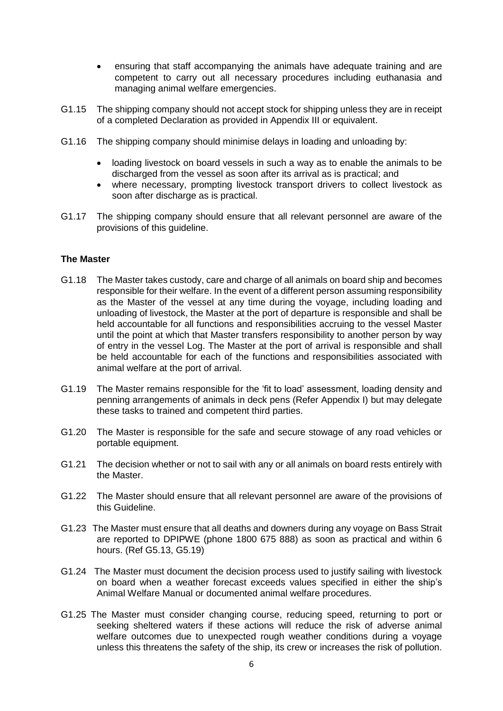- ensuring that staff accompanying the animals have adequate training and are competent to carry out all necessary procedures including euthanasia and managing animal welfare emergencies.
- G1.15 The shipping company should not accept stock for shipping unless they are in receipt of a completed Declaration as provided in Appendix III or equivalent.
- G1.16 The shipping company should minimise delays in loading and unloading by:
	- loading livestock on board vessels in such a way as to enable the animals to be discharged from the vessel as soon after its arrival as is practical; and
	- where necessary, prompting livestock transport drivers to collect livestock as soon after discharge as is practical.
- G1.17 The shipping company should ensure that all relevant personnel are aware of the provisions of this guideline.

#### **The Master**

- G1.18 The Master takes custody, care and charge of all animals on board ship and becomes responsible for their welfare. In the event of a different person assuming responsibility as the Master of the vessel at any time during the voyage, including loading and unloading of livestock, the Master at the port of departure is responsible and shall be held accountable for all functions and responsibilities accruing to the vessel Master until the point at which that Master transfers responsibility to another person by way of entry in the vessel Log. The Master at the port of arrival is responsible and shall be held accountable for each of the functions and responsibilities associated with animal welfare at the port of arrival.
- G1.19 The Master remains responsible for the 'fit to load' assessment, loading density and penning arrangements of animals in deck pens (Refer Appendix I) but may delegate these tasks to trained and competent third parties.
- G1.20 The Master is responsible for the safe and secure stowage of any road vehicles or portable equipment.
- G1.21 The decision whether or not to sail with any or all animals on board rests entirely with the Master.
- G1.22 The Master should ensure that all relevant personnel are aware of the provisions of this Guideline.
- G1.23 The Master must ensure that all deaths and downers during any voyage on Bass Strait are reported to DPIPWE (phone 1800 675 888) as soon as practical and within 6 hours. (Ref G5.13, G5.19)
- G1.24 The Master must document the decision process used to justify sailing with livestock on board when a weather forecast exceeds values specified in either the ship's Animal Welfare Manual or documented animal welfare procedures.
- G1.25 The Master must consider changing course, reducing speed, returning to port or seeking sheltered waters if these actions will reduce the risk of adverse animal welfare outcomes due to unexpected rough weather conditions during a voyage unless this threatens the safety of the ship, its crew or increases the risk of pollution.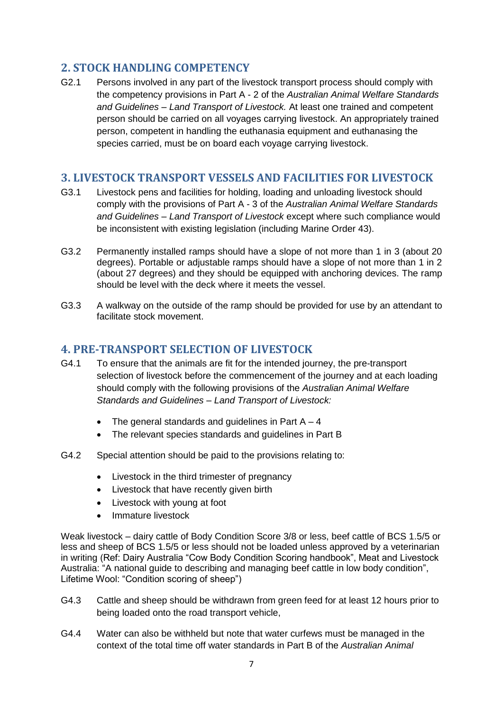# <span id="page-7-0"></span>**2. STOCK HANDLING COMPETENCY**

G2.1 Persons involved in any part of the livestock transport process should comply with the competency provisions in Part A - 2 of the *Australian Animal Welfare Standards and Guidelines – Land Transport of Livestock.* At least one trained and competent person should be carried on all voyages carrying livestock. An appropriately trained person, competent in handling the euthanasia equipment and euthanasing the species carried, must be on board each voyage carrying livestock.

## <span id="page-7-1"></span>**3. LIVESTOCK TRANSPORT VESSELS AND FACILITIES FOR LIVESTOCK**

- G3.1 Livestock pens and facilities for holding, loading and unloading livestock should comply with the provisions of Part A - 3 of the *Australian Animal Welfare Standards and Guidelines – Land Transport of Livestock* except where such compliance would be inconsistent with existing legislation (including Marine Order 43).
- G3.2 Permanently installed ramps should have a slope of not more than 1 in 3 (about 20 degrees). Portable or adjustable ramps should have a slope of not more than 1 in 2 (about 27 degrees) and they should be equipped with anchoring devices. The ramp should be level with the deck where it meets the vessel.
- G3.3 A walkway on the outside of the ramp should be provided for use by an attendant to facilitate stock movement.

## <span id="page-7-2"></span>**4. PRE-TRANSPORT SELECTION OF LIVESTOCK**

- G4.1 To ensure that the animals are fit for the intended journey, the pre-transport selection of livestock before the commencement of the journey and at each loading should comply with the following provisions of the *Australian Animal Welfare Standards and Guidelines – Land Transport of Livestock:*
	- The general standards and guidelines in Part  $A 4$
	- The relevant species standards and quidelines in Part B
- G4.2 Special attention should be paid to the provisions relating to:
	- Livestock in the third trimester of pregnancy
	- Livestock that have recently given birth
	- Livestock with young at foot
	- Immature livestock

Weak livestock – dairy cattle of Body Condition Score 3/8 or less, beef cattle of BCS 1.5/5 or less and sheep of BCS 1.5/5 or less should not be loaded unless approved by a veterinarian in writing (Ref: Dairy Australia "Cow Body Condition Scoring handbook", Meat and Livestock Australia: "A national guide to describing and managing beef cattle in low body condition", Lifetime Wool: "Condition scoring of sheep")

- G4.3 Cattle and sheep should be withdrawn from green feed for at least 12 hours prior to being loaded onto the road transport vehicle,
- G4.4 Water can also be withheld but note that water curfews must be managed in the context of the total time off water standards in Part B of the *Australian Animal*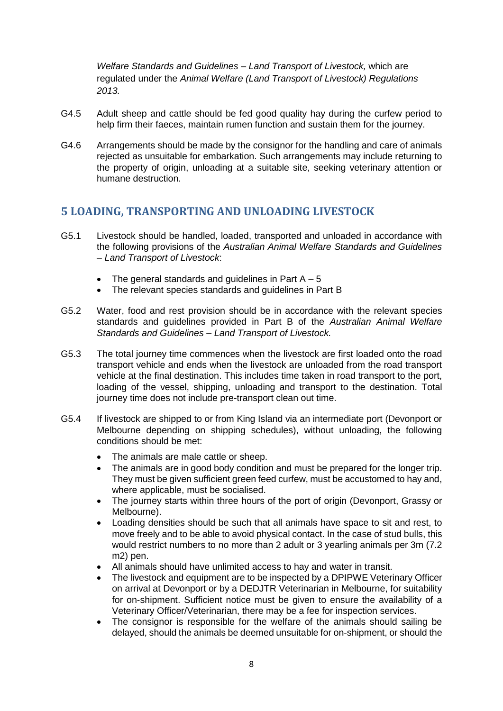*Welfare Standards and Guidelines – Land Transport of Livestock,* which are regulated under the *Animal Welfare (Land Transport of Livestock) Regulations 2013.*

- G4.5 Adult sheep and cattle should be fed good quality hay during the curfew period to help firm their faeces, maintain rumen function and sustain them for the journey.
- G4.6 Arrangements should be made by the consignor for the handling and care of animals rejected as unsuitable for embarkation. Such arrangements may include returning to the property of origin, unloading at a suitable site, seeking veterinary attention or humane destruction.

## <span id="page-8-0"></span>**5 LOADING, TRANSPORTING AND UNLOADING LIVESTOCK**

- G5.1 Livestock should be handled, loaded, transported and unloaded in accordance with the following provisions of the *Australian Animal Welfare Standards and Guidelines – Land Transport of Livestock*:
	- The general standards and guidelines in Part  $A 5$
	- The relevant species standards and guidelines in Part B
- G5.2 Water, food and rest provision should be in accordance with the relevant species standards and guidelines provided in Part B of the *Australian Animal Welfare Standards and Guidelines – Land Transport of Livestock.*
- G5.3 The total journey time commences when the livestock are first loaded onto the road transport vehicle and ends when the livestock are unloaded from the road transport vehicle at the final destination. This includes time taken in road transport to the port, loading of the vessel, shipping, unloading and transport to the destination. Total journey time does not include pre-transport clean out time.
- G5.4 If livestock are shipped to or from King Island via an intermediate port (Devonport or Melbourne depending on shipping schedules), without unloading, the following conditions should be met:
	- The animals are male cattle or sheep.
	- The animals are in good body condition and must be prepared for the longer trip. They must be given sufficient green feed curfew, must be accustomed to hay and, where applicable, must be socialised.
	- The journey starts within three hours of the port of origin (Devonport, Grassy or Melbourne).
	- Loading densities should be such that all animals have space to sit and rest, to move freely and to be able to avoid physical contact. In the case of stud bulls, this would restrict numbers to no more than 2 adult or 3 yearling animals per 3m (7.2 m2) pen.
	- All animals should have unlimited access to hay and water in transit.
	- The livestock and equipment are to be inspected by a DPIPWE Veterinary Officer on arrival at Devonport or by a DEDJTR Veterinarian in Melbourne, for suitability for on-shipment. Sufficient notice must be given to ensure the availability of a Veterinary Officer/Veterinarian, there may be a fee for inspection services.
	- The consignor is responsible for the welfare of the animals should sailing be delayed, should the animals be deemed unsuitable for on-shipment, or should the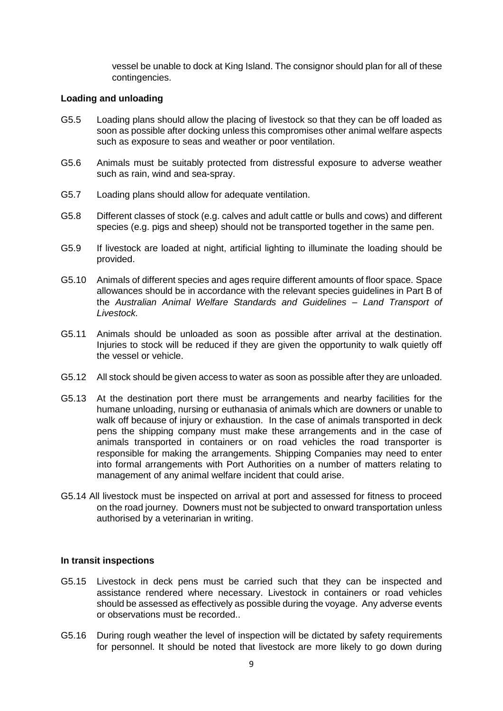vessel be unable to dock at King Island. The consignor should plan for all of these contingencies.

#### **Loading and unloading**

- G5.5 Loading plans should allow the placing of livestock so that they can be off loaded as soon as possible after docking unless this compromises other animal welfare aspects such as exposure to seas and weather or poor ventilation.
- G5.6 Animals must be suitably protected from distressful exposure to adverse weather such as rain, wind and sea-spray.
- G5.7 Loading plans should allow for adequate ventilation.
- G5.8 Different classes of stock (e.g. calves and adult cattle or bulls and cows) and different species (e.g. pigs and sheep) should not be transported together in the same pen.
- G5.9 If livestock are loaded at night, artificial lighting to illuminate the loading should be provided.
- G5.10 Animals of different species and ages require different amounts of floor space. Space allowances should be in accordance with the relevant species guidelines in Part B of the *Australian Animal Welfare Standards and Guidelines – Land Transport of Livestock.*
- G5.11 Animals should be unloaded as soon as possible after arrival at the destination. Injuries to stock will be reduced if they are given the opportunity to walk quietly off the vessel or vehicle.
- G5.12 All stock should be given access to water as soon as possible after they are unloaded.
- G5.13 At the destination port there must be arrangements and nearby facilities for the humane unloading, nursing or euthanasia of animals which are downers or unable to walk off because of injury or exhaustion. In the case of animals transported in deck pens the shipping company must make these arrangements and in the case of animals transported in containers or on road vehicles the road transporter is responsible for making the arrangements. Shipping Companies may need to enter into formal arrangements with Port Authorities on a number of matters relating to management of any animal welfare incident that could arise.
- G5.14 All livestock must be inspected on arrival at port and assessed for fitness to proceed on the road journey. Downers must not be subjected to onward transportation unless authorised by a veterinarian in writing.

#### **In transit inspections**

- G5.15 Livestock in deck pens must be carried such that they can be inspected and assistance rendered where necessary. Livestock in containers or road vehicles should be assessed as effectively as possible during the voyage. Any adverse events or observations must be recorded..
- G5.16 During rough weather the level of inspection will be dictated by safety requirements for personnel. It should be noted that livestock are more likely to go down during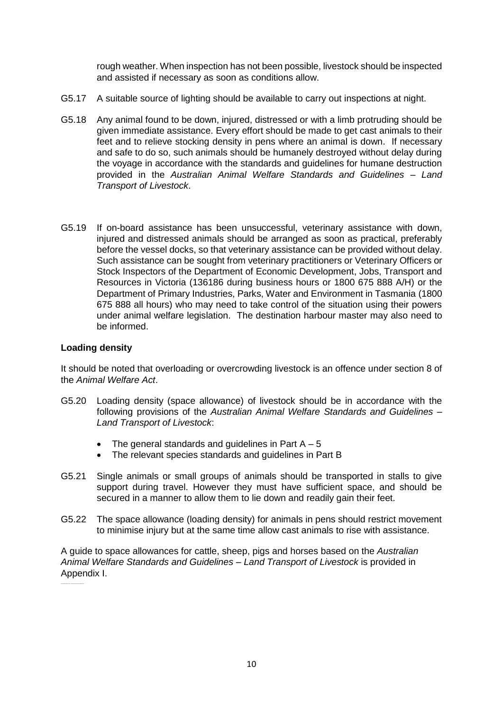rough weather. When inspection has not been possible, livestock should be inspected and assisted if necessary as soon as conditions allow.

- G5.17 A suitable source of lighting should be available to carry out inspections at night.
- G5.18 Any animal found to be down, injured, distressed or with a limb protruding should be given immediate assistance. Every effort should be made to get cast animals to their feet and to relieve stocking density in pens where an animal is down. If necessary and safe to do so, such animals should be humanely destroyed without delay during the voyage in accordance with the standards and guidelines for humane destruction provided in the *Australian Animal Welfare Standards and Guidelines – Land Transport of Livestock*.
- G5.19 If on-board assistance has been unsuccessful, veterinary assistance with down, injured and distressed animals should be arranged as soon as practical, preferably before the vessel docks, so that veterinary assistance can be provided without delay. Such assistance can be sought from veterinary practitioners or Veterinary Officers or Stock Inspectors of the Department of Economic Development, Jobs, Transport and Resources in Victoria (136186 during business hours or 1800 675 888 A/H) or the Department of Primary Industries, Parks, Water and Environment in Tasmania (1800 675 888 all hours) who may need to take control of the situation using their powers under animal welfare legislation. The destination harbour master may also need to be informed.

#### **Loading density**

It should be noted that overloading or overcrowding livestock is an offence under section 8 of the *Animal Welfare Act*.

- G5.20 Loading density (space allowance) of livestock should be in accordance with the following provisions of the *Australian Animal Welfare Standards and Guidelines – Land Transport of Livestock*:
	- The general standards and guidelines in Part  $A 5$
	- The relevant species standards and guidelines in Part B
- G5.21 Single animals or small groups of animals should be transported in stalls to give support during travel. However they must have sufficient space, and should be secured in a manner to allow them to lie down and readily gain their feet.
- G5.22 The space allowance (loading density) for animals in pens should restrict movement to minimise injury but at the same time allow cast animals to rise with assistance.

A guide to space allowances for cattle, sheep, pigs and horses based on the *Australian Animal Welfare Standards and Guidelines – Land Transport of Livestock* is provided in Appendix I.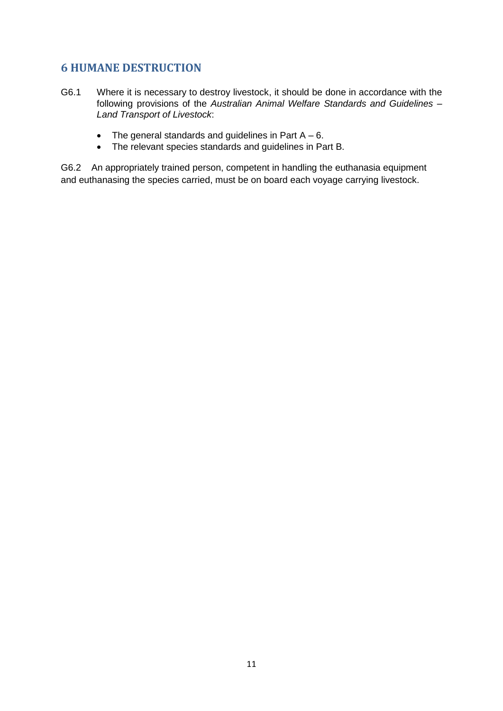# <span id="page-11-0"></span>**6 HUMANE DESTRUCTION**

- G6.1 Where it is necessary to destroy livestock, it should be done in accordance with the following provisions of the *Australian Animal Welfare Standards and Guidelines – Land Transport of Livestock*:
	- $\bullet$  The general standards and guidelines in Part A 6.
	- The relevant species standards and guidelines in Part B.

G6.2 An appropriately trained person, competent in handling the euthanasia equipment and euthanasing the species carried, must be on board each voyage carrying livestock.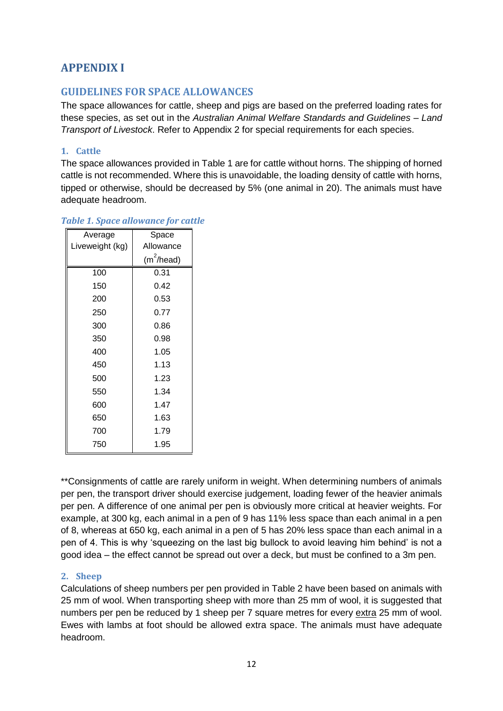# <span id="page-12-0"></span>**APPENDIX I**

## <span id="page-12-1"></span>**GUIDELINES FOR SPACE ALLOWANCES**

The space allowances for cattle, sheep and pigs are based on the preferred loading rates for these species, as set out in the *Australian Animal Welfare Standards and Guidelines – Land Transport of Livestock*. Refer to Appendix 2 for special requirements for each species.

#### <span id="page-12-2"></span>**1. Cattle**

The space allowances provided in Table 1 are for cattle without horns. The shipping of horned cattle is not recommended. Where this is unavoidable, the loading density of cattle with horns, tipped or otherwise, should be decreased by 5% (one animal in 20). The animals must have adequate headroom.

| Average         | Space               |
|-----------------|---------------------|
| Liveweight (kg) | Allowance           |
|                 | $(m^2/\text{head})$ |
| 100             | 0.31                |
| 150             | 0.42                |
| 200             | 0.53                |
| 250             | 0.77                |
| 300             | 0.86                |
| 350             | 0.98                |
| 400             | 1.05                |
| 450             | 1.13                |
| 500             | 1.23                |
| 550             | 1.34                |
| 600             | 1.47                |
| 650             | 1.63                |
| 700             | 1.79                |
| 750             | 1.95                |
|                 |                     |

#### *Table 1. Space allowance for cattle*

\*\*Consignments of cattle are rarely uniform in weight. When determining numbers of animals per pen, the transport driver should exercise judgement, loading fewer of the heavier animals per pen. A difference of one animal per pen is obviously more critical at heavier weights. For example, at 300 kg, each animal in a pen of 9 has 11% less space than each animal in a pen of 8, whereas at 650 kg, each animal in a pen of 5 has 20% less space than each animal in a pen of 4. This is why 'squeezing on the last big bullock to avoid leaving him behind' is not a good idea – the effect cannot be spread out over a deck, but must be confined to a 3m pen.

## <span id="page-12-3"></span>**2. Sheep**

Calculations of sheep numbers per pen provided in Table 2 have been based on animals with 25 mm of wool. When transporting sheep with more than 25 mm of wool, it is suggested that numbers per pen be reduced by 1 sheep per 7 square metres for every extra 25 mm of wool. Ewes with lambs at foot should be allowed extra space. The animals must have adequate headroom.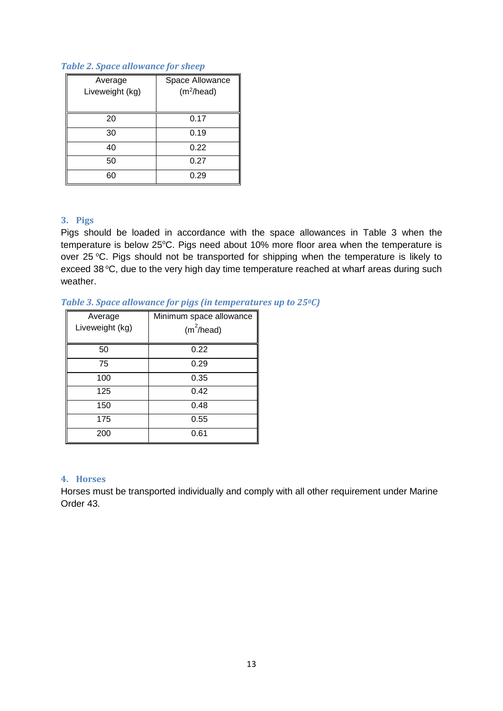#### *Table 2. Space allowance for sheep*

| Average         | Space Allowance        |
|-----------------|------------------------|
| Liveweight (kg) | (m <sup>2</sup> /head) |
|                 |                        |
| 20              | 0.17                   |
| 30              | 0.19                   |
| 40              | 0.22                   |
| 50              | 0.27                   |
| 60              | 0.29                   |

## <span id="page-13-0"></span>**3. Pigs**

Pigs should be loaded in accordance with the space allowances in Table 3 when the temperature is below 25°C. Pigs need about 10% more floor area when the temperature is over 25 °C. Pigs should not be transported for shipping when the temperature is likely to exceed 38 $^{\circ}$ C, due to the very high day time temperature reached at wharf areas during such weather.

#### *Table 3. Space allowance for pigs (in temperatures up to 250C)*

| Average<br>Liveweight (kg) | Minimum space allowance<br>$(m^2/\text{head})$ |
|----------------------------|------------------------------------------------|
| 50                         | 0.22                                           |
| 75                         | 0.29                                           |
| 100                        | 0.35                                           |
| 125                        | 0.42                                           |
| 150                        | 0.48                                           |
| 175                        | 0.55                                           |
| 200                        | 0.61                                           |

#### <span id="page-13-1"></span>**4. Horses**

Horses must be transported individually and comply with all other requirement under Marine Order 43.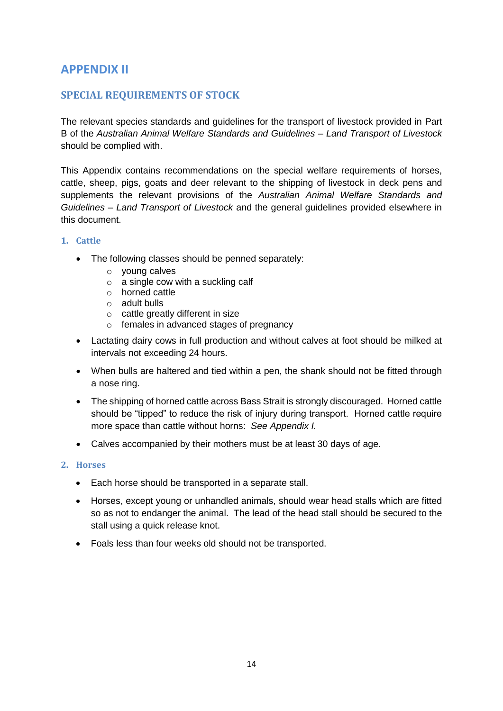# **APPENDIX II**

## <span id="page-14-0"></span>**SPECIAL REQUIREMENTS OF STOCK**

The relevant species standards and guidelines for the transport of livestock provided in Part B of the *Australian Animal Welfare Standards and Guidelines – Land Transport of Livestock*  should be complied with.

This Appendix contains recommendations on the special welfare requirements of horses, cattle, sheep, pigs, goats and deer relevant to the shipping of livestock in deck pens and supplements the relevant provisions of the *Australian Animal Welfare Standards and Guidelines – Land Transport of Livestock* and the general guidelines provided elsewhere in this document.

#### <span id="page-14-1"></span>**1. Cattle**

- The following classes should be penned separately:
	- o young calves
	- o a single cow with a suckling calf
	- o horned cattle
	- o adult bulls
	- o cattle greatly different in size
	- o females in advanced stages of pregnancy
- Lactating dairy cows in full production and without calves at foot should be milked at intervals not exceeding 24 hours.
- When bulls are haltered and tied within a pen, the shank should not be fitted through a nose ring.
- The shipping of horned cattle across Bass Strait is strongly discouraged. Horned cattle should be "tipped" to reduce the risk of injury during transport. Horned cattle require more space than cattle without horns: *See Appendix I.*
- Calves accompanied by their mothers must be at least 30 days of age.

#### <span id="page-14-2"></span>**2. Horses**

- Each horse should be transported in a separate stall.
- Horses, except young or unhandled animals, should wear head stalls which are fitted so as not to endanger the animal. The lead of the head stall should be secured to the stall using a quick release knot.
- Foals less than four weeks old should not be transported.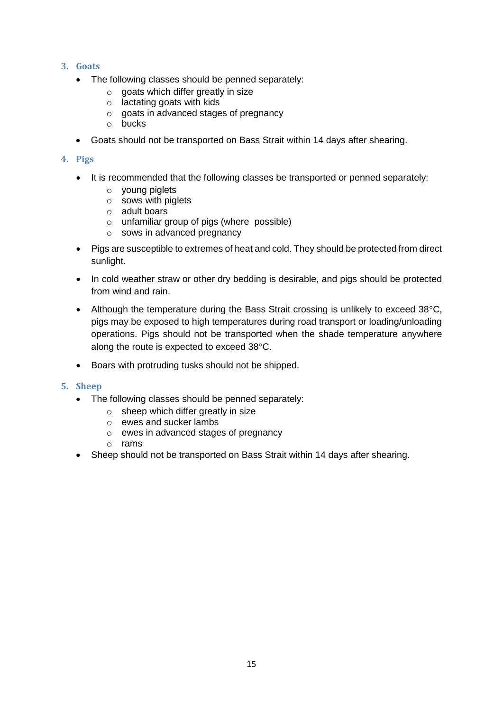#### <span id="page-15-0"></span>**3. Goats**

- The following classes should be penned separately:
	- $\circ$  goats which differ greatly in size
	- o lactating goats with kids
	- o goats in advanced stages of pregnancy
	- o bucks
- Goats should not be transported on Bass Strait within 14 days after shearing.

#### <span id="page-15-1"></span>**4. Pigs**

- It is recommended that the following classes be transported or penned separately:
	- o young piglets
	- o sows with piglets
	- o adult boars
	- $\circ$  unfamiliar group of pigs (where possible)
	- o sows in advanced pregnancy
- Pigs are susceptible to extremes of heat and cold. They should be protected from direct sunlight.
- In cold weather straw or other dry bedding is desirable, and pigs should be protected from wind and rain.
- Although the temperature during the Bass Strait crossing is unlikely to exceed  $38^{\circ}$ C, pigs may be exposed to high temperatures during road transport or loading/unloading operations. Pigs should not be transported when the shade temperature anywhere along the route is expected to exceed 38°C.
- Boars with protruding tusks should not be shipped.

#### <span id="page-15-2"></span>**5. Sheep**

- The following classes should be penned separately:
	- $\circ$  sheep which differ greatly in size
	- o ewes and sucker lambs
	- o ewes in advanced stages of pregnancy
	- o rams
- <span id="page-15-3"></span>Sheep should not be transported on Bass Strait within 14 days after shearing.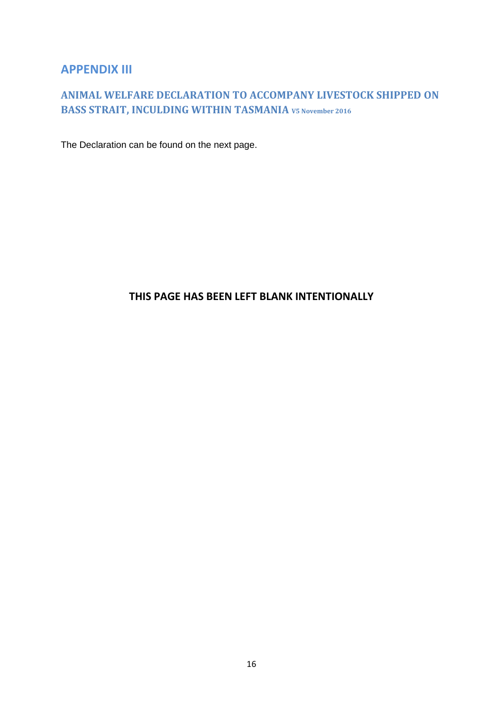# <span id="page-16-0"></span>**APPENDIX III**

# **ANIMAL WELFARE DECLARATION TO ACCOMPANY LIVESTOCK SHIPPED ON BASS STRAIT, INCULDING WITHIN TASMANIA V5 November <sup>2016</sup>**

The Declaration can be found on the next page.

# **THIS PAGE HAS BEEN LEFT BLANK INTENTIONALLY**